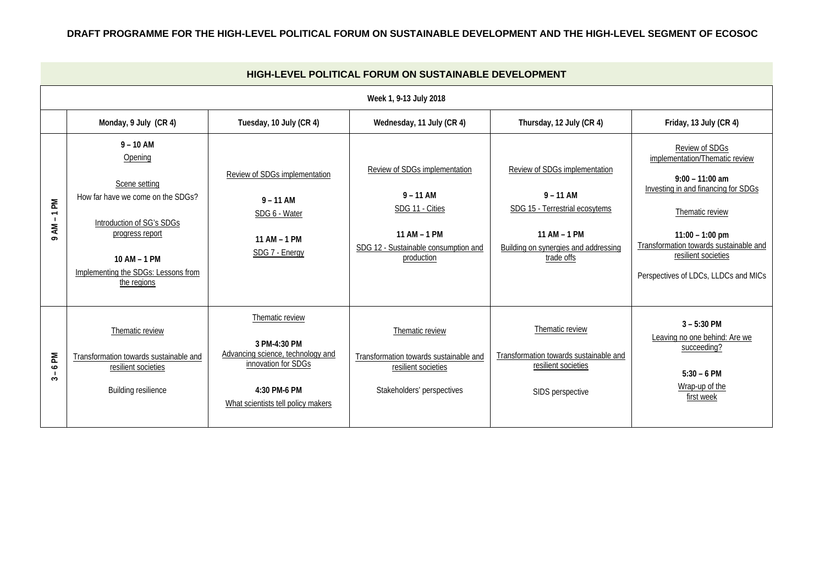## **DRAFT PROGRAMME FOR THE HIGH-LEVEL POLITICAL FORUM ON SUSTAINABLE DEVELOPMENT AND THE HIGH-LEVEL SEGMENT OF ECOSOC**

| HIGH-LEVEL POLITICAL FORUM ON SUSTAINABLE DEVELOPMENT           |                                                                                                                                                                                                    |                                                                                                                                                   |                                                                                                                                       |                                                                                                                                                             |                                                                                                                                                                                                                                                               |  |  |  |  |  |  |  |
|-----------------------------------------------------------------|----------------------------------------------------------------------------------------------------------------------------------------------------------------------------------------------------|---------------------------------------------------------------------------------------------------------------------------------------------------|---------------------------------------------------------------------------------------------------------------------------------------|-------------------------------------------------------------------------------------------------------------------------------------------------------------|---------------------------------------------------------------------------------------------------------------------------------------------------------------------------------------------------------------------------------------------------------------|--|--|--|--|--|--|--|
| Week 1, 9-13 July 2018                                          |                                                                                                                                                                                                    |                                                                                                                                                   |                                                                                                                                       |                                                                                                                                                             |                                                                                                                                                                                                                                                               |  |  |  |  |  |  |  |
|                                                                 | Monday, 9 July (CR 4)                                                                                                                                                                              | Tuesday, 10 July (CR 4)                                                                                                                           | Wednesday, 11 July (CR 4)                                                                                                             | Thursday, 12 July (CR 4)                                                                                                                                    | Friday, 13 July (CR 4)                                                                                                                                                                                                                                        |  |  |  |  |  |  |  |
| $\mathbb{R}$<br>$\overline{ }$<br>$\blacksquare$<br>ξ<br>$\sim$ | $9 - 10$ AM<br>Opening<br>Scene setting<br>How far have we come on the SDGs?<br>Introduction of SG's SDGs<br>progress report<br>10 AM - 1 PM<br>Implementing the SDGs: Lessons from<br>the regions | Review of SDGs implementation<br>$9 - 11$ AM<br>SDG 6 - Water<br>11 AM - 1 PM<br>SDG 7 - Energy                                                   | Review of SDGs implementation<br>$9 - 11$ AM<br>SDG 11 - Cities<br>11 AM - 1 PM<br>SDG 12 - Sustainable consumption and<br>production | Review of SDGs implementation<br>$9 - 11$ AM<br>SDG 15 - Terrestrial ecosytems<br>11 AM - 1 PM<br><b>Building on synergies and addressing</b><br>trade offs | Review of SDGs<br>implementation/Thematic review<br>$9:00 - 11:00$ am<br>Investing in and financing for SDGs<br>Thematic review<br>$11:00 - 1:00$ pm<br>Transformation towards sustainable and<br>resilient societies<br>Perspectives of LDCs, LLDCs and MICs |  |  |  |  |  |  |  |
| 6 PM<br>$\sim$                                                  | Thematic review<br>Transformation towards sustainable and<br>resilient societies<br><b>Building resilience</b>                                                                                     | Thematic review<br>3 PM-4:30 PM<br>Advancing science, technology and<br>innovation for SDGs<br>4:30 PM-6 PM<br>What scientists tell policy makers | Thematic review<br>Transformation towards sustainable and<br>resilient societies<br>Stakeholders' perspectives                        | Thematic review<br>Transformation towards sustainable and<br>resilient societies<br>SIDS perspective                                                        | $3 - 5:30$ PM<br>Leaving no one behind: Are we<br>succeeding?<br>$5:30 - 6$ PM<br>Wrap-up of the<br>first week                                                                                                                                                |  |  |  |  |  |  |  |